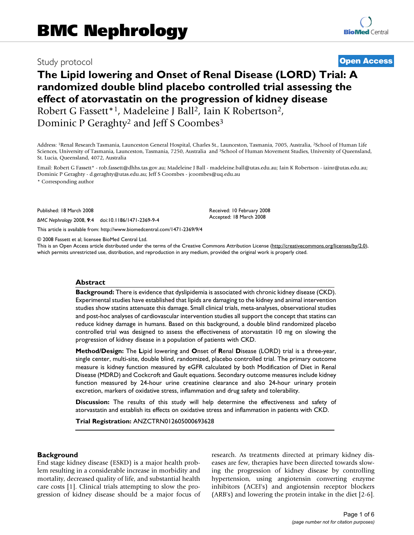## Study protocol **[Open Access](http://www.biomedcentral.com/info/about/charter/)**

# **The Lipid lowering and Onset of Renal Disease (LORD) Trial: A randomized double blind placebo controlled trial assessing the effect of atorvastatin on the progression of kidney disease** Robert G Fassett\*1, Madeleine J Ball2, Iain K Robertson2, Dominic P Geraghty<sup>2</sup> and Jeff S Coombes<sup>3</sup>

Address: 1Renal Research Tasmania, Launceston General Hospital, Charles St., Launceston, Tasmania, 7005, Australia, 2School of Human Life Sciences, University of Tasmania, Launceston, Tasmania, 7250, Australia and 3School of Human Movement Studies, University of Queensland, St. Lucia, Queensland, 4072, Australia

Email: Robert G Fassett\* - rob.fassett@dhhs.tas.gov.au; Madeleine J Ball - madeleine.ball@utas.edu.au; Iain K Robertson - iainr@utas.edu.au; Dominic P Geraghty - d.geraghty@utas.edu.au; Jeff S Coombes - jcoombes@uq.edu.au

\* Corresponding author

Published: 18 March 2008

*BMC Nephrology* 2008, **9**:4 doi:10.1186/1471-2369-9-4

[This article is available from: http://www.biomedcentral.com/1471-2369/9/4](http://www.biomedcentral.com/1471-2369/9/4)

© 2008 Fassett et al; licensee BioMed Central Ltd.

This is an Open Access article distributed under the terms of the Creative Commons Attribution License [\(http://creativecommons.org/licenses/by/2.0\)](http://creativecommons.org/licenses/by/2.0), which permits unrestricted use, distribution, and reproduction in any medium, provided the original work is properly cited.

Received: 10 February 2008 Accepted: 18 March 2008

#### **Abstract**

**Background:** There is evidence that dyslipidemia is associated with chronic kidney disease (CKD). Experimental studies have established that lipids are damaging to the kidney and animal intervention studies show statins attenuate this damage. Small clinical trials, meta-analyses, observational studies and post-hoc analyses of cardiovascular intervention studies all support the concept that statins can reduce kidney damage in humans. Based on this background, a double blind randomized placebo controlled trial was designed to assess the effectiveness of atorvastatin 10 mg on slowing the progression of kidney disease in a population of patients with CKD.

**Method/Design:** The **L**ipid lowering and **O**nset of **R**enal **D**isease (LORD) trial is a three-year, single center, multi-site, double blind, randomized, placebo controlled trial. The primary outcome measure is kidney function measured by eGFR calculated by both Modification of Diet in Renal Disease (MDRD) and Cockcroft and Gault equations. Secondary outcome measures include kidney function measured by 24-hour urine creatinine clearance and also 24-hour urinary protein excretion, markers of oxidative stress, inflammation and drug safety and tolerability.

**Discussion:** The results of this study will help determine the effectiveness and safety of atorvastatin and establish its effects on oxidative stress and inflammation in patients with CKD.

**Trial Registration:** ANZCTRN012605000693628

#### **Background**

End stage kidney disease (ESKD) is a major health problem resulting in a considerable increase in morbidity and mortality, decreased quality of life, and substantial health care costs [1]. Clinical trials attempting to slow the progression of kidney disease should be a major focus of research. As treatments directed at primary kidney diseases are few, therapies have been directed towards slowing the progression of kidney disease by controlling hypertension, using angiotensin converting enzyme inhibitors (ACEI's) and angiotensin receptor blockers (ARB's) and lowering the protein intake in the diet [2-6].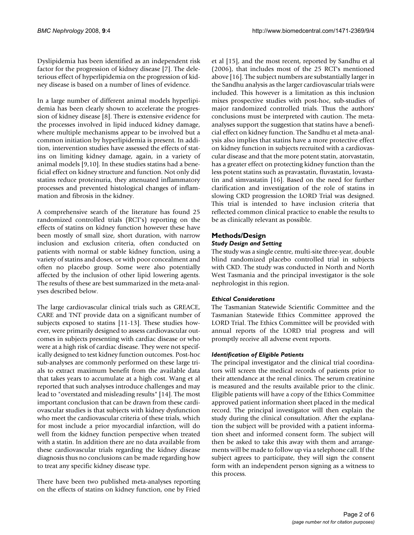Dyslipidemia has been identified as an independent risk factor for the progression of kidney disease [7]. The deleterious effect of hyperlipidemia on the progression of kidney disease is based on a number of lines of evidence.

In a large number of different animal models hyperlipidemia has been clearly shown to accelerate the progression of kidney disease [8]. There is extensive evidence for the processes involved in lipid induced kidney damage, where multiple mechanisms appear to be involved but a common initiation by hyperlipidemia is present. In addition, intervention studies have assessed the effects of statins on limiting kidney damage, again, in a variety of animal models [9,10]. In these studies statins had a beneficial effect on kidney structure and function. Not only did statins reduce proteinuria, they attenuated inflammatory processes and prevented histological changes of inflammation and fibrosis in the kidney.

A comprehensive search of the literature has found 25 randomized controlled trials (RCT's) reporting on the effects of statins on kidney function however these have been mostly of small size, short duration, with narrow inclusion and exclusion criteria, often conducted on patients with normal or stable kidney function, using a variety of statins and doses, or with poor concealment and often no placebo group. Some were also potentially affected by the inclusion of other lipid lowering agents. The results of these are best summarized in the meta-analyses described below.

The large cardiovascular clinical trials such as GREACE, CARE and TNT provide data on a significant number of subjects exposed to statins [11-13]. These studies however, were primarily designed to assess cardiovascular outcomes in subjects presenting with cardiac disease or who were at a high risk of cardiac disease. They were not specifically designed to test kidney function outcomes. Post-hoc sub-analyses are commonly performed on these large trials to extract maximum benefit from the available data that takes years to accumulate at a high cost. Wang et al reported that such analyses introduce challenges and may lead to "overstated and misleading results" [14]. The most important conclusion that can be drawn from these cardiovascular studies is that subjects with kidney dysfunction who meet the cardiovascular criteria of these trials, which for most include a prior myocardial infarction, will do well from the kidney function perspective when treated with a statin. In addition there are no data available from these cardiovascular trials regarding the kidney disease diagnosis thus no conclusions can be made regarding how to treat any specific kidney disease type.

There have been two published meta-analyses reporting on the effects of statins on kidney function, one by Fried et al [15], and the most recent, reported by Sandhu et al (2006), that includes most of the 25 RCT's mentioned above [16]. The subject numbers are substantially larger in the Sandhu analysis as the larger cardiovascular trials were included. This however is a limitation as this inclusion mixes prospective studies with post-hoc, sub-studies of major randomized controlled trials. Thus the authors' conclusions must be interpreted with caution. The metaanalyses support the suggestion that statins have a beneficial effect on kidney function. The Sandhu et al meta-analysis also implies that statins have a more protective effect on kidney function in subjects recruited with a cardiovascular disease and that the more potent statin, atorvastatin, has a greater effect on protecting kidney function than the less potent statins such as pravastatin, fluvastatin, lovastatin and simvastatin [16]. Based on the need for further clarification and investigation of the role of statins in slowing CKD progression the LORD Trial was designed. This trial is intended to have inclusion criteria that reflected common clinical practice to enable the results to be as clinically relevant as possible.

#### **Methods/Design** *Study Design and Setting*

The study was a single centre, multi-site three-year, double blind randomized placebo controlled trial in subjects with CKD. The study was conducted in North and North West Tasmania and the principal investigator is the sole nephrologist in this region.

### *Ethical Considerations*

The Tasmanian Statewide Scientific Committee and the Tasmanian Statewide Ethics Committee approved the LORD Trial. The Ethics Committee will be provided with annual reports of the LORD trial progress and will promptly receive all adverse event reports.

#### *Identification of Eligible Patients*

The principal investigator and the clinical trial coordinators will screen the medical records of patients prior to their attendance at the renal clinics. The serum creatinine is measured and the results available prior to the clinic. Eligible patients will have a copy of the Ethics Committee approved patient information sheet placed in the medical record. The principal investigator will then explain the study during the clinical consultation. After the explanation the subject will be provided with a patient information sheet and informed consent form. The subject will then be asked to take this away with them and arrangements will be made to follow up via a telephone call. If the subject agrees to participate, they will sign the consent form with an independent person signing as a witness to this process.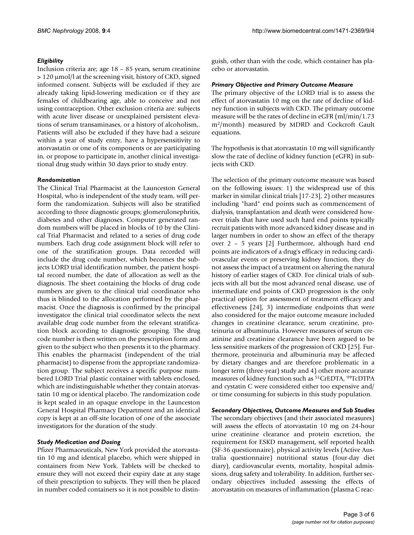#### *Eligibility*

Inclusion criteria are; age 18 – 85 years, serum creatinine > 120 μmol/l at the screening visit, history of CKD, signed informed consent. Subjects will be excluded if they are already taking lipid-lowering medication or if they are females of childbearing age, able to conceive and not using contraception. Other exclusion criteria are: subjects with acute liver disease or unexplained persistent elevations of serum transaminases, or a history of alcoholism,. Patients will also be excluded if they have had a seizure within a year of study entry, have a hypersensitivity to atorvastatin or one of its components or are participating in, or propose to participate in, another clinical investigational drug study within 30 days prior to study entry.

#### *Randomization*

The Clinical Trial Pharmacist at the Launceston General Hospital, who is independent of the study team, will perform the randomization. Subjects will also be stratified according to three diagnostic groups; glomerulonephritis, diabetes and other diagnoses. Computer generated random numbers will be placed in blocks of 10 by the Clinical Trial Pharmacist and related to a series of drug code numbers. Each drug code assignment block will refer to one of the stratification groups. Data recorded will include the drug code number, which becomes the subjects LORD trial identification number, the patient hospital record number, the date of allocation as well as the diagnosis. The sheet containing the blocks of drug code numbers are given to the clinical trial coordinator who thus is blinded to the allocation performed by the pharmacist. Once the diagnosis is confirmed by the principal investigator the clinical trial coordinator selects the next available drug code number from the relevant stratification block according to diagnostic grouping. The drug code number is then written on the prescription form and given to the subject who then presents it to the pharmacy. This enables the pharmacist (independent of the trial pharmacist) to dispense from the appropriate randomization group. The subject receives a specific purpose numbered LORD Trial plastic container with tablets enclosed, which are indistinguishable whether they contain atorvastatin 10 mg or identical placebo. The randomization code is kept sealed in an opaque envelope in the Launceston General Hospital Pharmacy Department and an identical copy is kept at an off-site location of one of the associate investigators for the duration of the study.

#### *Study Medication and Dosing*

Pfizer Pharmaceuticals, New York provided the atorvastatin 10 mg and identical placebo, which were shipped in containers from New York. Tablets will be checked to ensure they will not exceed their expiry date at any stage of their prescription to subjects. They will then be placed in number coded containers so it is not possible to distinguish, other than with the code, which container has placebo or atorvastatin.

#### *Primary Objective and Primary Outcome Measure*

The primary objective of the LORD trial is to assess the effect of atorvastatin 10 mg on the rate of decline of kidney function in subjects with CKD. The primary outcome measure will be the rates of decline in eGFR (ml/min/1.73 m2/month) measured by MDRD and Cockcroft Gault equations.

The hypothesis is that atorvastatin 10 mg will significantly slow the rate of decline of kidney function (eGFR) in subjects with CKD.

The selection of the primary outcome measure was based on the following issues: 1) the widespread use of this marker in similar clinical trials [17-23], 2) other measures including "hard" end points such as commencement of dialysis, transplantation and death were considered however trials that have used such hard end points typically recruit patients with more advanced kidney disease and in larger numbers in order to show an effect of the therapy over 2 – 5 years [2] Furthermore, although hard end points are indicators of a drug's efficacy in reducing cardiovascular events or preserving kidney function, they do not assess the impact of a treatment on altering the natural history of earlier stages of CKD. For clinical trials of subjects with all but the most advanced renal disease, use of intermediate end points of CKD progression is the only practical option for assessment of treatment efficacy and effectiveness [24], 3) intermediate endpoints that were also considered for the major outcome measure included changes in creatinine clearance, serum creatinine, proteinuria or albuminuria. However measures of serum creatinine and creatinine clearance have been argued to be less sensitive markers of the progression of CKD [25]. Furthermore, proteinuria and albuminuria may be affected by dietary changes and are therefore problematic in a longer term (three-year) study and 4) other more accurate measures of kidney function such as 51CrEDTA, 99TcDTPA and cystatin C were considered either too expensive and/ or time consuming for subjects in this study population.

#### *Secondary Objectives, Outcome Measures and Sub Studies*

The secondary objectives (and their associated measures) will assess the effects of atorvastatin 10 mg on 24-hour urine creatinine clearance and protein excretion, the requirement for ESKD management, self reported health (SF-36 questionnaire), physical activity levels (Active Australia questionnaire) nutritional status (four-day diet diary), cardiovascular events, mortality, hospital admissions, drug safety and tolerability. In addition, further secondary objectives included assessing the effects of atorvastatin on measures of inflammation (plasma C reac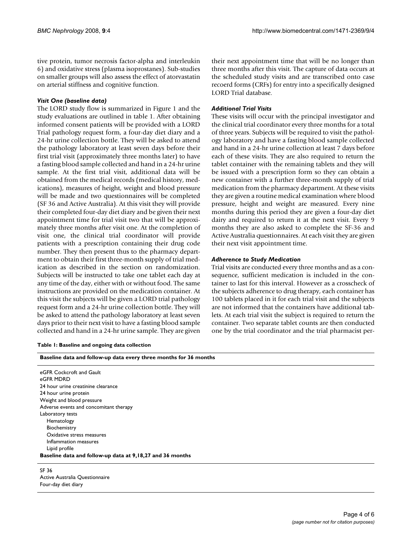tive protein, tumor necrosis factor-alpha and interleukin 6) and oxidative stress (plasma isoprostanes). Sub-studies on smaller groups will also assess the effect of atorvastatin on arterial stiffness and cognitive function.

#### *Visit One (baseline data)*

The LORD study flow is summarized in Figure 1 and the study evaluations are outlined in table 1. After obtaining informed consent patients will be provided with a LORD Trial pathology request form, a four-day diet diary and a 24-hr urine collection bottle. They will be asked to attend the pathology laboratory at least seven days before their first trial visit (approximately three months later) to have a fasting blood sample collected and hand in a 24-hr urine sample. At the first trial visit, additional data will be obtained from the medical records (medical history, medications), measures of height, weight and blood pressure will be made and two questionnaires will be completed (SF 36 and Active Australia). At this visit they will provide their completed four-day diet diary and be given their next appointment time for trial visit two that will be approximately three months after visit one. At the completion of visit one, the clinical trial coordinator will provide patients with a prescription containing their drug code number. They then present thus to the pharmacy department to obtain their first three-month supply of trial medication as described in the section on randomization. Subjects will be instructed to take one tablet each day at any time of the day, either with or without food. The same instructions are provided on the medication container. At this visit the subjects will be given a LORD trial pathology request form and a 24-hr urine collection bottle. They will be asked to attend the pathology laboratory at least seven days prior to their next visit to have a fasting blood sample collected and hand in a 24-hr urine sample. They are given

**Table 1: Baseline and ongoing data collection**

their next appointment time that will be no longer than three months after this visit. The capture of data occurs at the scheduled study visits and are transcribed onto case recoerd forms (CRFs) for entry into a specifically designed LORD Trial database.

#### *Additional Trial Visits*

These visits will occur with the principal investigator and the clinical trial coordinator every three months for a total of three years. Subjects will be required to visit the pathology laboratory and have a fasting blood sample collected and hand in a 24-hr urine collection at least 7 days before each of these visits. They are also required to return the tablet container with the remaining tablets and they will be issued with a prescription form so they can obtain a new container with a further three-month supply of trial medication from the pharmacy department. At these visits they are given a routine medical examination where blood pressure, height and weight are measured. Every nine months during this period they are given a four-day diet dairy and required to return it at the next visit. Every 9 months they are also asked to complete the SF-36 and Active Australia questionnaires. At each visit they are given their next visit appointment time.

#### *Adherence to Study Medication*

Trial visits are conducted every three months and as a consequence, sufficient medication is included in the container to last for this interval. However as a crosscheck of the subjects adherence to drug therapy, each container has 100 tablets placed in it for each trial visit and the subjects are not informed that the containers have additional tablets. At each trial visit the subject is required to return the container. Two separate tablet counts are then conducted one by the trial coordinator and the trial pharmacist per-

| eGFR Cockcroft and Gault                                  |
|-----------------------------------------------------------|
| eGFR MDRD                                                 |
| 24 hour urine creatinine clearance                        |
| 24 hour urine protein                                     |
| Weight and blood pressure                                 |
| Adverse events and concomitant therapy                    |
| Laboratory tests                                          |
| Hematology                                                |
| <b>Biochemistry</b>                                       |
| Oxidative stress measures                                 |
| Inflammation measures                                     |
| Lipid profile                                             |
| Baseline data and follow-up data at 9,18,27 and 36 months |

**Baseline data and follow-up data every three months for 36 months**

SF 36 Active Australia Questionnaire Four-day diet diary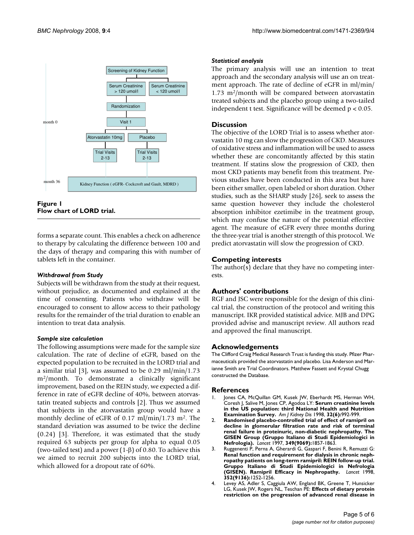

#### **Figure 1 Flow chart of LORD trial.**

forms a separate count. This enables a check on adherence to therapy by calculating the difference between 100 and the days of therapy and comparing this with number of tablets left in the container.

#### *Withdrawal from Study*

Subjects will be withdrawn from the study at their request, without prejudice, as documented and explained at the time of consenting. Patients who withdraw will be encouraged to consent to allow access to their pathology results for the remainder of the trial duration to enable an intention to treat data analysis.

#### *Sample size calculation*

The following assumptions were made for the sample size calculation. The rate of decline of eGFR, based on the expected population to be recruited in the LORD trial and a similar trial [3], was assumed to be 0.29 ml/min/1.73 m<sup>2</sup>/month. To demonstrate a clinically significant improvement, based on the REIN study, we expected a difference in rate of eGFR decline of 40%, between atorvastatin treated subjects and controls [2]. Thus we assumed that subjects in the atorvastatin group would have a monthly decline of eGFR of 0.17 ml/min/1.73 m<sup>2</sup>. The standard deviation was assumed to be twice the decline (0.24) [3]. Therefore, it was estimated that the study required 63 subjects per group for alpha to equal 0.05 (two-tailed test) and a power (1-β) of 0.80. To achieve this we aimed to recruit 200 subjects into the LORD trial, which allowed for a dropout rate of 60%.

#### *Statistical analysis*

The primary analysis will use an intention to treat approach and the secondary analysis will use an on treatment approach. The rate of decline of eGFR in ml/min/ 1.73 m2/month will be compared between atorvastatin treated subjects and the placebo group using a two-tailed independent t test. Significance will be deemed p < 0.05.

#### **Discussion**

The objective of the LORD Trial is to assess whether atorvastatin 10 mg can slow the progression of CKD. Measures of oxidative stress and inflammation will be used to assess whether these are concomitantly affected by this statin treatment. If statins slow the progression of CKD, then most CKD patients may benefit from this treatment. Previous studies have been conducted in this area but have been either smaller, open labeled or short duration. Other studies, such as the SHARP study [26], seek to assess the same question however they include the cholesterol absorption inhibitor ezetimibe in the treatment group, which may confuse the nature of the potential effective agent. The measure of eGFR every three months during the three-year trial is another strength of this protocol. We predict atorvastatin will slow the progression of CKD.

#### **Competing interests**

The author(s) declare that they have no competing interests.

#### **Authors' contributions**

RGF and JSC were responsible for the design of this clinical trial, the construction of the protocol and writing this manuscript. IKR provided statistical advice. MJB and DPG provided advise and manuscript review. All authors read and approved the final manuscript.

#### **Acknowledgements**

The Clifford Craig Medical Research Trust is funding this study. Pfizer Pharmaceuticals provided the atorvastatin and placebo. Lisa Anderson and Marianne Smith are Trial Coordinators. Matthew Fassett and Krystal Chugg constructed the Database.

#### **References**

- Jones CA, McQuillan GM, Kusek JW, Eberhardt MS, Herman WH, Coresh J, Salive M, Jones CP, Agodoa LY: **[Serum creatinine levels](http://www.ncbi.nlm.nih.gov/entrez/query.fcgi?cmd=Retrieve&db=PubMed&dopt=Abstract&list_uids=9856515) [in the US population: third National Health and Nutrition](http://www.ncbi.nlm.nih.gov/entrez/query.fcgi?cmd=Retrieve&db=PubMed&dopt=Abstract&list_uids=9856515) [Examination Survey.](http://www.ncbi.nlm.nih.gov/entrez/query.fcgi?cmd=Retrieve&db=PubMed&dopt=Abstract&list_uids=9856515)** *Am J Kidney Dis* 1998, **32(6):**992-999.
- 2. **[Randomised placebo-controlled trial of effect of ramipril on](http://www.ncbi.nlm.nih.gov/entrez/query.fcgi?cmd=Retrieve&db=PubMed&dopt=Abstract&list_uids=9217756) [decline in glomerular filtration rate and risk of terminal](http://www.ncbi.nlm.nih.gov/entrez/query.fcgi?cmd=Retrieve&db=PubMed&dopt=Abstract&list_uids=9217756) renal failure in proteinuric, non-diabetic nephropathy. The GISEN Group (Gruppo Italiano di Studi Epidemiologici in [Nefrologia\).](http://www.ncbi.nlm.nih.gov/entrez/query.fcgi?cmd=Retrieve&db=PubMed&dopt=Abstract&list_uids=9217756)** *Lancet* 1997, **349(9069):**1857-1863.
- 3. Ruggenenti P, Perna A, Gherardi G, Gaspari F, Benini R, Remuzzi G: **Renal function and requirement for dialysis in chronic neph[ropathy patients on long-term ramipril: REIN follow-up trial.](http://www.ncbi.nlm.nih.gov/entrez/query.fcgi?cmd=Retrieve&db=PubMed&dopt=Abstract&list_uids=9788454) Gruppo Italiano di Studi Epidemiologici in Nefrologia [\(GISEN\). Ramipril Efficacy in Nephropathy.](http://www.ncbi.nlm.nih.gov/entrez/query.fcgi?cmd=Retrieve&db=PubMed&dopt=Abstract&list_uids=9788454)** *Lancet* 1998, **352(9136):**1252-1256.
- 4. Levey AS, Adler S, Caggiula AW, England BK, Greene T, Hunsicker LG, Kusek JW, Rogers NL, Teschan PE: **[Effects of dietary protein](http://www.ncbi.nlm.nih.gov/entrez/query.fcgi?cmd=Retrieve&db=PubMed&dopt=Abstract&list_uids=8629624) [restriction on the progression of advanced renal disease in](http://www.ncbi.nlm.nih.gov/entrez/query.fcgi?cmd=Retrieve&db=PubMed&dopt=Abstract&list_uids=8629624)**